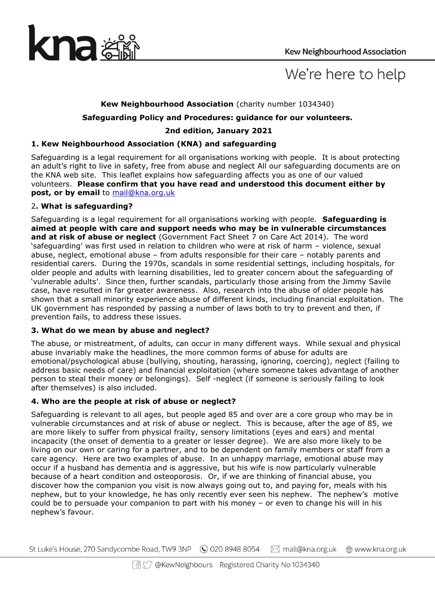

# We're here to help

# **Kew Neighbourhood Association** (charity number 1034340)

## **Safeguarding Policy and Procedures: guidance for our volunteers.**

# **2nd edition, January 2021**

# **1. Kew Neighbourhood Association (KNA) and safeguarding**

Safeguarding is a legal requirement for all organisations working with people. It is about protecting an adult's right to live in safety, free from abuse and neglect All our safeguarding documents are on the KNA web site. This leaflet explains how safeguarding affects you as one of our valued volunteers. **Please confirm that you have read and understood this document either by post, or by email** to [mail@kna.org.uk](mailto:mail@kna.org.uk)

## 2**. What is safeguarding?**

Safeguarding is a legal requirement for all organisations working with people. **Safeguarding is aimed at people with care and support needs who may be in vulnerable circumstances and at risk of abuse or neglect** (Government Fact Sheet 7 on Care Act 2014). The word 'safeguarding' was first used in relation to children who were at risk of harm – violence, sexual abuse, neglect, emotional abuse – from adults responsible for their care – notably parents and residential carers. During the 1970s, scandals in some residential settings, including hospitals, for older people and adults with learning disabilities, led to greater concern about the safeguarding of 'vulnerable adults'. Since then, further scandals, particularly those arising from the Jimmy Savile case, have resulted in far greater awareness. Also, research into the abuse of older people has shown that a small minority experience abuse of different kinds, including financial exploitation. The UK government has responded by passing a number of laws both to try to prevent and then, if prevention fails, to address these issues.

## **3. What do we mean by abuse and neglect?**

The abuse, or mistreatment, of adults, can occur in many different ways. While sexual and physical abuse invariably make the headlines, the more common forms of abuse for adults are emotional/psychological abuse (bullying, shouting, harassing, ignoring, coercing), neglect (failing to address basic needs of care) and financial exploitation (where someone takes advantage of another person to steal their money or belongings). Self -neglect (if someone is seriously failing to look after themselves) is also included.

## **4. Who are the people at risk of abuse or neglect?**

Safeguarding is relevant to all ages, but people aged 85 and over are a core group who may be in vulnerable circumstances and at risk of abuse or neglect. This is because, after the age of 85, we are more likely to suffer from physical frailty, sensory limitations (eyes and ears) and mental incapacity (the onset of dementia to a greater or lesser degree). We are also more likely to be living on our own or caring for a partner, and to be dependent on family members or staff from a care agency. Here are two examples of abuse. In an unhappy marriage, emotional abuse may occur if a husband has dementia and is aggressive, but his wife is now particularly vulnerable because of a heart condition and osteoporosis. Or, if we are thinking of financial abuse, you discover how the companion you visit is now always going out to, and paying for, meals with his nephew, but to your knowledge, he has only recently ever seen his nephew. The nephew's motive could be to persuade your companion to part with his money – or even to change his will in his nephew's favour.

St Luke's House, 270 Sandycombe Road, TW9 3NP (C) 020 8948 8054 M mail@kna.org.uk www.kna.org.uk